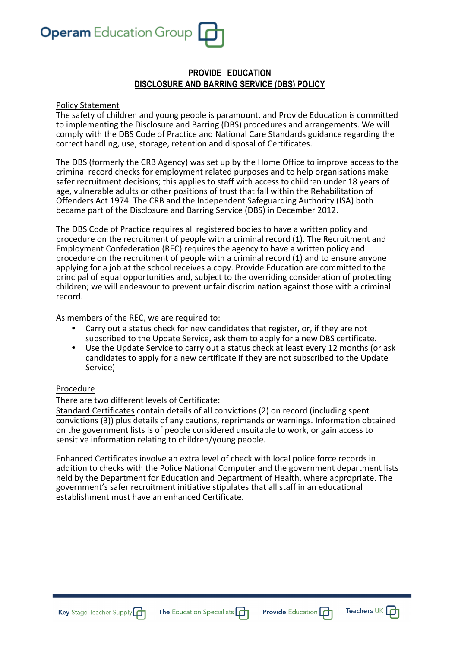

# **PROVIDE EDUCATION DISCLOSURE AND BARRING SERVICE (DBS) POLICY**

#### Policy Statement

The safety of children and young people is paramount, and Provide Education is committed to implementing the Disclosure and Barring (DBS) procedures and arrangements. We will comply with the DBS Code of Practice and National Care Standards guidance regarding the correct handling, use, storage, retention and disposal of Certificates.

The DBS (formerly the CRB Agency) was set up by the Home Office to improve access to the criminal record checks for employment related purposes and to help organisations make safer recruitment decisions; this applies to staff with access to children under 18 years of age, vulnerable adults or other positions of trust that fall within the Rehabilitation of Offenders Act 1974. The CRB and the Independent Safeguarding Authority (ISA) both became part of the Disclosure and Barring Service (DBS) in December 2012.

The DBS Code of Practice requires all registered bodies to have a written policy and procedure on the recruitment of people with a criminal record (1). The Recruitment and Employment Confederation (REC) requires the agency to have a written policy and procedure on the recruitment of people with a criminal record (1) and to ensure anyone applying for a job at the school receives a copy. Provide Education are committed to the principal of equal opportunities and, subject to the overriding consideration of protecting children; we will endeavour to prevent unfair discrimination against those with a criminal record.

As members of the REC, we are required to:

- Carry out a status check for new candidates that register, or, if they are not subscribed to the Update Service, ask them to apply for a new DBS certificate.
- Use the Update Service to carry out a status check at least every 12 months (or ask candidates to apply for a new certificate if they are not subscribed to the Update Service)

#### Procedure

There are two different levels of Certificate:

Standard Certificates contain details of all convictions (2) on record (including spent convictions (3)) plus details of any cautions, reprimands or warnings. Information obtained on the government lists is of people considered unsuitable to work, or gain access to sensitive information relating to children/young people.

Enhanced Certificates involve an extra level of check with local police force records in addition to checks with the Police National Computer and the government department lists held by the Department for Education and Department of Health, where appropriate. The government's safer recruitment initiative stipulates that all staff in an educational establishment must have an enhanced Certificate.

Teachers UK  $\Box$ 

**Provide Education** 

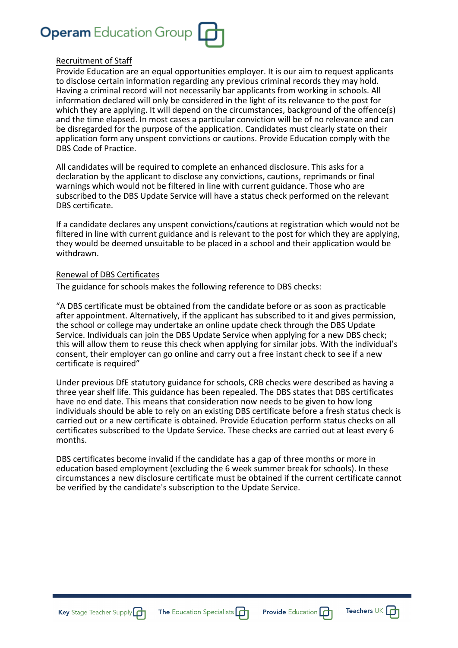

#### Recruitment of Staff

Provide Education are an equal opportunities employer. It is our aim to request applicants to disclose certain information regarding any previous criminal records they may hold. Having a criminal record will not necessarily bar applicants from working in schools. All information declared will only be considered in the light of its relevance to the post for which they are applying. It will depend on the circumstances, background of the offence(s) and the time elapsed. In most cases a particular conviction will be of no relevance and can be disregarded for the purpose of the application. Candidates must clearly state on their application form any unspent convictions or cautions. Provide Education comply with the DBS Code of Practice.

All candidates will be required to complete an enhanced disclosure. This asks for a declaration by the applicant to disclose any convictions, cautions, reprimands or final warnings which would not be filtered in line with current guidance. Those who are subscribed to the DBS Update Service will have a status check performed on the relevant DBS certificate.

If a candidate declares any unspent convictions/cautions at registration which would not be filtered in line with current guidance and is relevant to the post for which they are applying, they would be deemed unsuitable to be placed in a school and their application would be withdrawn.

#### Renewal of DBS Certificates

The guidance for schools makes the following reference to DBS checks:

"A DBS certificate must be obtained from the candidate before or as soon as practicable after appointment. Alternatively, if the applicant has subscribed to it and gives permission, the school or college may undertake an online update check through the DBS Update Service. Individuals can join the DBS Update Service when applying for a new DBS check; this will allow them to reuse this check when applying for similar jobs. With the individual's consent, their employer can go online and carry out a free instant check to see if a new certificate is required"

Under previous DfE statutory guidance for schools, CRB checks were described as having a three year shelf life. This guidance has been repealed. The DBS states that DBS certificates have no end date. This means that consideration now needs to be given to how long individuals should be able to rely on an existing DBS certificate before a fresh status check is carried out or a new certificate is obtained. Provide Education perform status checks on all certificates subscribed to the Update Service. These checks are carried out at least every 6 months.

DBS certificates become invalid if the candidate has a gap of three months or more in education based employment (excluding the 6 week summer break for schools). In these circumstances a new disclosure certificate must be obtained if the current certificate cannot be verified by the candidate's subscription to the Update Service.

Key Stage Teacher Supply



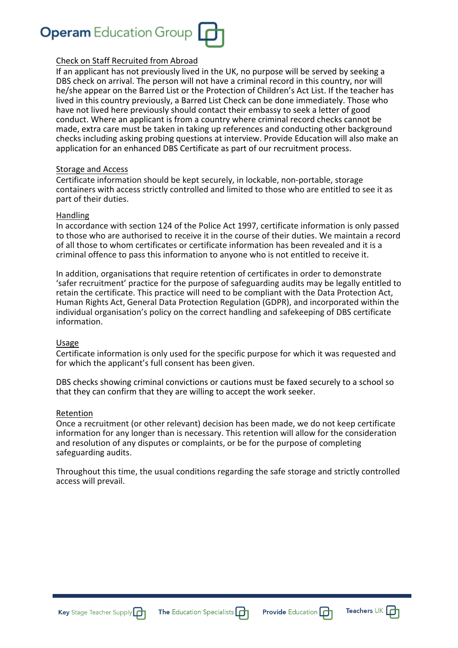

#### Check on Staff Recruited from Abroad

If an applicant has not previously lived in the UK, no purpose will be served by seeking a DBS check on arrival. The person will not have a criminal record in this country, nor will he/she appear on the Barred List or the Protection of Children's Act List. If the teacher has lived in this country previously, a Barred List Check can be done immediately. Those who have not lived here previously should contact their embassy to seek a letter of good conduct. Where an applicant is from a country where criminal record checks cannot be made, extra care must be taken in taking up references and conducting other background checks including asking probing questions at interview. Provide Education will also make an application for an enhanced DBS Certificate as part of our recruitment process.

#### Storage and Access

Certificate information should be kept securely, in lockable, non-portable, storage containers with access strictly controlled and limited to those who are entitled to see it as part of their duties.

#### Handling

In accordance with section 124 of the Police Act 1997, certificate information is only passed to those who are authorised to receive it in the course of their duties. We maintain a record of all those to whom certificates or certificate information has been revealed and it is a criminal offence to pass this information to anyone who is not entitled to receive it.

In addition, organisations that require retention of certificates in order to demonstrate 'safer recruitment' practice for the purpose of safeguarding audits may be legally entitled to retain the certificate. This practice will need to be compliant with the Data Protection Act, Human Rights Act, General Data Protection Regulation (GDPR), and incorporated within the individual organisation's policy on the correct handling and safekeeping of DBS certificate information.

#### Usage

Certificate information is only used for the specific purpose for which it was requested and for which the applicant's full consent has been given.

DBS checks showing criminal convictions or cautions must be faxed securely to a school so that they can confirm that they are willing to accept the work seeker.

#### Retention

Once a recruitment (or other relevant) decision has been made, we do not keep certificate information for any longer than is necessary. This retention will allow for the consideration and resolution of any disputes or complaints, or be for the purpose of completing safeguarding audits.

Throughout this time, the usual conditions regarding the safe storage and strictly controlled access will prevail.





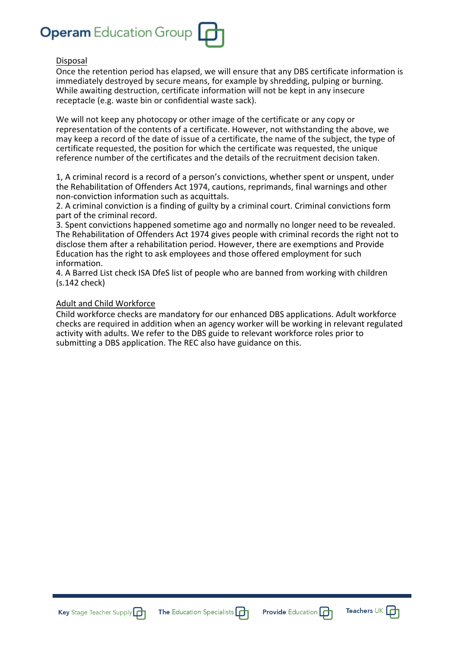

#### Disposal

Once the retention period has elapsed, we will ensure that any DBS certificate information is immediately destroyed by secure means, for example by shredding, pulping or burning. While awaiting destruction, certificate information will not be kept in any insecure receptacle (e.g. waste bin or confidential waste sack).

We will not keep any photocopy or other image of the certificate or any copy or representation of the contents of a certificate. However, not withstanding the above, we may keep a record of the date of issue of a certificate, the name of the subject, the type of certificate requested, the position for which the certificate was requested, the unique reference number of the certificates and the details of the recruitment decision taken.

1, A criminal record is a record of a person's convictions, whether spent or unspent, under the Rehabilitation of Offenders Act 1974, cautions, reprimands, final warnings and other non-conviction information such as acquittals.

2. A criminal conviction is a finding of guilty by a criminal court. Criminal convictions form part of the criminal record.

3. Spent convictions happened sometime ago and normally no longer need to be revealed. The Rehabilitation of Offenders Act 1974 gives people with criminal records the right not to disclose them after a rehabilitation period. However, there are exemptions and Provide Education has the right to ask employees and those offered employment for such information.

4. A Barred List check ISA DfeS list of people who are banned from working with children (s.142 check)

#### Adult and Child Workforce

Child workforce checks are mandatory for our enhanced DBS applications. Adult workforce checks are required in addition when an agency worker will be working in relevant regulated activity with adults. We refer to the DBS guide to relevant workforce roles prior to submitting a DBS application. The REC also have guidance on this.







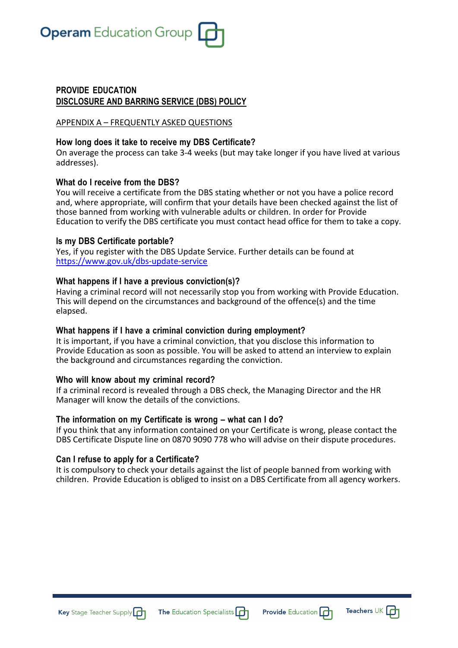

# **PROVIDE EDUCATION DISCLOSURE AND BARRING SERVICE (DBS) POLICY**

#### APPENDIX A – FREQUENTLY ASKED QUESTIONS

#### **How long does it take to receive my DBS Certificate?**

On average the process can take 3-4 weeks (but may take longer if you have lived at various addresses).

#### **What do I receive from the DBS?**

You will receive a certificate from the DBS stating whether or not you have a police record and, where appropriate, will confirm that your details have been checked against the list of those banned from working with vulnerable adults or children. In order for Provide Education to verify the DBS certificate you must contact head office for them to take a copy.

#### **Is my DBS Certificate portable?**

Yes, if you register with the DBS Update Service. Further details can be found at https://www.gov.uk/dbs-update-service

## **What happens if I have a previous conviction(s)?**

Having a criminal record will not necessarily stop you from working with Provide Education. This will depend on the circumstances and background of the offence(s) and the time elapsed.

#### **What happens if I have a criminal conviction during employment?**

It is important, if you have a criminal conviction, that you disclose this information to Provide Education as soon as possible. You will be asked to attend an interview to explain the background and circumstances regarding the conviction.

#### **Who will know about my criminal record?**

If a criminal record is revealed through a DBS check, the Managing Director and the HR Manager will know the details of the convictions.

## **The information on my Certificate is wrong – what can I do?**

If you think that any information contained on your Certificate is wrong, please contact the DBS Certificate Dispute line on 0870 9090 778 who will advise on their dispute procedures.

## **Can I refuse to apply for a Certificate?**

It is compulsory to check your details against the list of people banned from working with children. Provide Education is obliged to insist on a DBS Certificate from all agency workers.